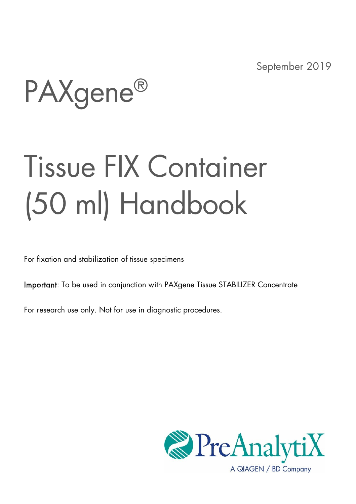September 2019

PAXgene®

# Tissue FIX Container (50 ml) Handbook

For fixation and stabilization of tissue specimens

Important: To be used in conjunction with PAXgene Tissue STABILIZER Concentrate

For research use only. Not for use in diagnostic procedures.

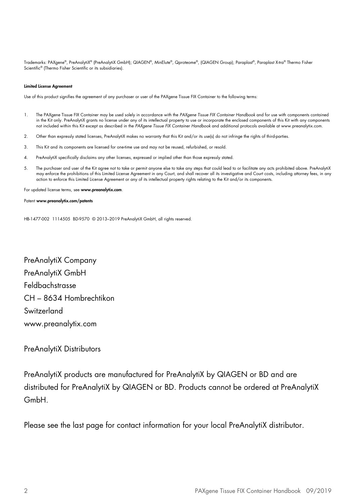Trademarks: PAXgene®, PreAnalytiX® (PreAnalytiX GmbH); QIAGEN®, MinElute®, Qproteome®, (QIAGEN Group); Paraplast®, Paraplast X-tra® Thermo Fisher Scientific® (Thermo Fisher Scientific or its subsidiaries).

#### Limited License Agreement

Use of this product signifies the agreement of any purchaser or user of the PAXgene Tissue FIX Container to the following terms:

- 1. The PAXgene Tissue FIX Container may be used solely in accordance with the PAXgene Tissue FIX Container Handbook and for use with components contained in the Kit only. PreAnalytiX grants no license under any of its intellectual property to use or incorporate the enclosed components of this Kit with any components not included within this Kit except as described in the PAXgene Tissue FIX Container Handbook and additional protocols available at www.preanalytix.com.
- 2. Other than expressly stated licenses, PreAnalytiX makes no warranty that this Kit and/or its use(s) do not infringe the rights of third-parties.
- 3. This Kit and its components are licensed for one-time use and may not be reused, refurbished, or resold.
- 4. PreAnalytiX specifically disclaims any other licenses, expressed or implied other than those expressly stated.
- The purchaser and user of the Kit agree not to take or permit anyone else to take any steps that could lead to or facilitate any acts prohibited above. PreAnalytiX<br>may enforce the prohibitions of this Limited License Agree action to enforce this Limited License Agreement or any of its intellectual property rights relating to the Kit and/or its components.

For updated license terms, see www.preanalytix.com.

#### Patent www.preanalytix.com/patents

HB-1477-002 1114505 BD-9570 © 2013–2019 PreAnalytiX GmbH, all rights reserved.

PreAnalytiX Company PreAnalytiX GmbH Feldbachstrasse CH – 8634 Hombrechtikon Switzerland www.preanalytix.com

#### PreAnalytiX Distributors

PreAnalytiX products are manufactured for PreAnalytiX by QIAGEN or BD and are distributed for PreAnalytiX by QIAGEN or BD. Products cannot be ordered at PreAnalytiX GmbH.

Please see the last page for contact information for your local PreAnalytiX distributor.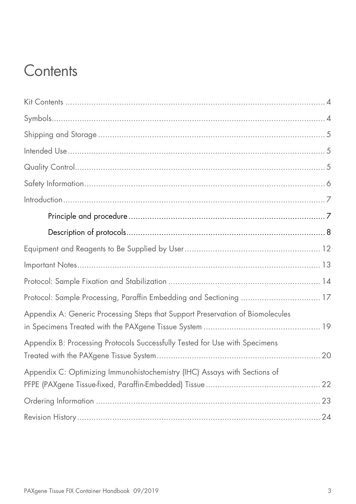### **Contents**

| Protocol: Sample Processing, Paraffin Embedding and Sectioning  17             |  |
|--------------------------------------------------------------------------------|--|
| Appendix A: Generic Processing Steps that Support Preservation of Biomolecules |  |
| Appendix B: Processing Protocols Successfully Tested for Use with Specimens    |  |
| Appendix C: Optimizing Immunohistochemistry (IHC) Assays with Sections of      |  |
|                                                                                |  |
|                                                                                |  |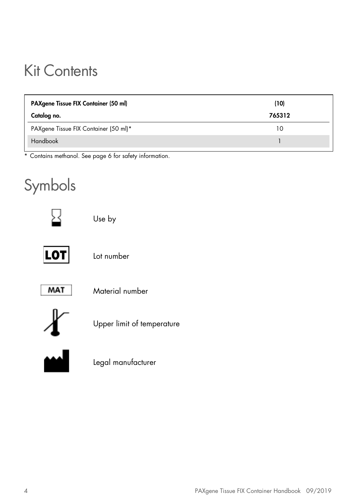### Kit Contents

| PAXgene Tissue FIX Container (50 ml)  | (10)   |  |
|---------------------------------------|--------|--|
| Catalog no.                           | 765312 |  |
| PAXgene Tissue FIX Container (50 ml)* | 10     |  |
| Handbook                              |        |  |

\* Contains methanol. See page 6 for safety information.

### Symbols



Use by



Lot number



Material number



Upper limit of temperature



Legal manufacturer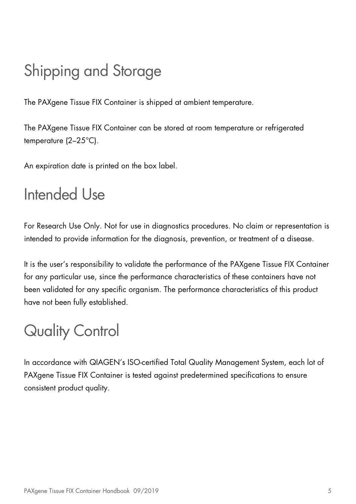## Shipping and Storage

The PAXgene Tissue FIX Container is shipped at ambient temperature.

The PAXgene Tissue FIX Container can be stored at room temperature or refrigerated temperature (2–25°C).

An expiration date is printed on the box label.

### Intended Use

For Research Use Only. Not for use in diagnostics procedures. No claim or representation is intended to provide information for the diagnosis, prevention, or treatment of a disease.

It is the user's responsibility to validate the performance of the PAXgene Tissue FIX Container for any particular use, since the performance characteristics of these containers have not been validated for any specific organism. The performance characteristics of this product have not been fully established.

# Quality Control

In accordance with QIAGEN's ISO-certified Total Quality Management System, each lot of PAXgene Tissue FIX Container is tested against predetermined specifications to ensure consistent product quality.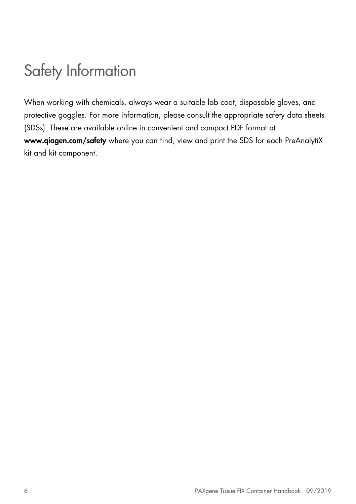### Safety Information

When working with chemicals, always wear a suitable lab coat, disposable gloves, and protective goggles. For more information, please consult the appropriate safety data sheets (SDSs). These are available online in convenient and compact PDF format at www.qiagen.com/safety where you can find, view and print the SDS for each PreAnalytiX kit and kit component.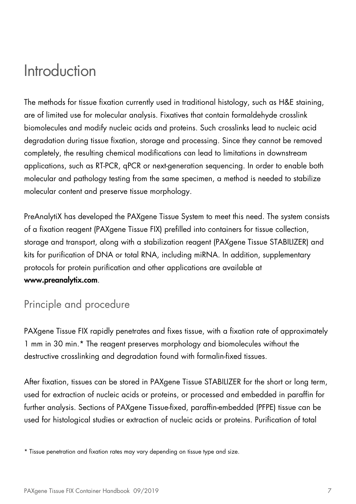### Introduction

The methods for tissue fixation currently used in traditional histology, such as H&E staining, are of limited use for molecular analysis. Fixatives that contain formaldehyde crosslink biomolecules and modify nucleic acids and proteins. Such crosslinks lead to nucleic acid degradation during tissue fixation, storage and processing. Since they cannot be removed completely, the resulting chemical modifications can lead to limitations in downstream applications, such as RT-PCR, qPCR or next-generation sequencing. In order to enable both molecular and pathology testing from the same specimen, a method is needed to stabilize molecular content and preserve tissue morphology.

PreAnalytiX has developed the PAXgene Tissue System to meet this need. The system consists of a fixation reagent (PAXgene Tissue FIX) prefilled into containers for tissue collection, storage and transport, along with a stabilization reagent (PAXgene Tissue STABILIZER) and kits for purification of DNA or total RNA, including miRNA. In addition, supplementary protocols for protein purification and other applications are available at www.preanalytix.com.

### Principle and procedure

PAXgene Tissue FIX rapidly penetrates and fixes tissue, with a fixation rate of approximately 1 mm in 30 min.\* The reagent preserves morphology and biomolecules without the destructive crosslinking and degradation found with formalin-fixed tissues.

After fixation, tissues can be stored in PAXgene Tissue STABILIZER for the short or long term, used for extraction of nucleic acids or proteins, or processed and embedded in paraffin for further analysis. Sections of PAXgene Tissue-fixed, paraffin-embedded (PFPE) tissue can be used for histological studies or extraction of nucleic acids or proteins. Purification of total

<sup>\*</sup> Tissue penetration and fixation rates may vary depending on tissue type and size.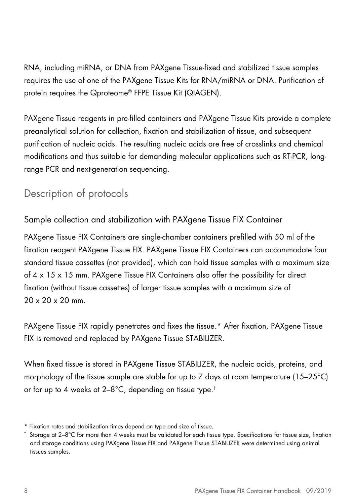RNA, including miRNA, or DNA from PAXgene Tissue-fixed and stabilized tissue samples requires the use of one of the PAXgene Tissue Kits for RNA/miRNA or DNA. Purification of protein requires the Qproteome® FFPE Tissue Kit (QIAGEN).

PAXgene Tissue reagents in pre-filled containers and PAXgene Tissue Kits provide a complete preanalytical solution for collection, fixation and stabilization of tissue, and subsequent purification of nucleic acids. The resulting nucleic acids are free of crosslinks and chemical modifications and thus suitable for demanding molecular applications such as RT-PCR, longrange PCR and next-generation sequencing.

### Description of protocols

Sample collection and stabilization with PAXgene Tissue FIX Container

PAXgene Tissue FIX Containers are single-chamber containers prefilled with 50 ml of the fixation reagent PAXgene Tissue FIX. PAXgene Tissue FIX Containers can accommodate four standard tissue cassettes (not provided), which can hold tissue samples with a maximum size of 4 x 15 x 15 mm. PAXgene Tissue FIX Containers also offer the possibility for direct fixation (without tissue cassettes) of larger tissue samples with a maximum size of 20 x 20 x 20 mm.

PAXgene Tissue FIX rapidly penetrates and fixes the tissue.\* After fixation, PAXgene Tissue FIX is removed and replaced by PAXgene Tissue STABILIZER.

When fixed tissue is stored in PAXgene Tissue STABILIZER, the nucleic acids, proteins, and morphology of the tissue sample are stable for up to 7 days at room temperature (15-25°C) or for up to 4 weeks at 2–8°C, depending on tissue type.†

<sup>\*</sup> Fixation rates and stabilization times depend on type and size of tissue.

<sup>†</sup> Storage at 2–8°C for more than 4 weeks must be validated for each tissue type. Specifications for tissue size, fixation and storage conditions using PAXgene Tissue FIX and PAXgene Tissue STABILIZER were determined using animal tissues samples.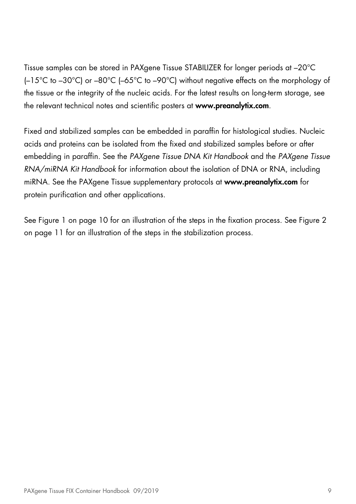Tissue samples can be stored in PAXgene Tissue STABILIZER for longer periods at –20°C (–15°C to –30°C) or –80°C (–65°C to –90°C) without negative effects on the morphology of the tissue or the integrity of the nucleic acids. For the latest results on long-term storage, see the relevant technical notes and scientific posters at www.preanalytix.com.

Fixed and stabilized samples can be embedded in paraffin for histological studies. Nucleic acids and proteins can be isolated from the fixed and stabilized samples before or after embedding in paraffin. See the PAXgene Tissue DNA Kit Handbook and the PAXgene Tissue RNA/miRNA Kit Handbook for information about the isolation of DNA or RNA, including miRNA. See the PAXgene Tissue supplementary protocols at www.preanalytix.com for protein purification and other applications.

See Figure 1 on page 10 for an illustration of the steps in the fixation process. See Figure 2 on page 11 for an illustration of the steps in the stabilization process.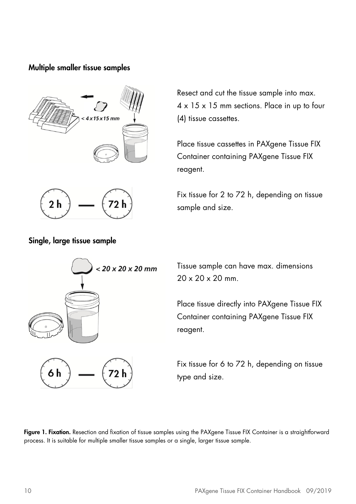### Multiple smaller tissue samples



Resect and cut the tissue sample into max. 4 x 15 x 15 mm sections. Place in up to four (4) tissue cassettes.

Place tissue cassettes in PAXgene Tissue FIX Container containing PAXgene Tissue FIX reagent.

Fix tissue for 2 to 72 h, depending on tissue sample and size.



#### Single, large tissue sample



Tissue sample can have max. dimensions 20 x 20 x 20 mm.

Place tissue directly into PAXgene Tissue FIX Container containing PAXgene Tissue FIX reagent.

Fix tissue for 6 to 72 h, depending on tissue type and size.

Figure 1. Fixation. Resection and fixation of tissue samples using the PAXgene Tissue FIX Container is a straightforward process. It is suitable for multiple smaller tissue samples or a single, larger tissue sample.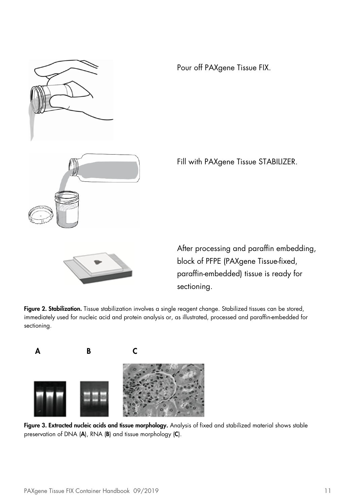

Pour off PAXgene Tissue FIX.

Fill with PAXgene Tissue STABILIZER.



After processing and paraffin embedding, block of PFPE (PAXgene Tissue-fixed, paraffin-embedded) tissue is ready for sectioning.

Figure 2. Stabilization. Tissue stabilization involves a single reagent change. Stabilized tissues can be stored, immediately used for nucleic acid and protein analysis or, as illustrated, processed and paraffin-embedded for sectioning.



Figure 3. Extracted nucleic acids and tissue morphology. Analysis of fixed and stabilized material shows stable preservation of DNA (A), RNA (B) and tissue morphology (C).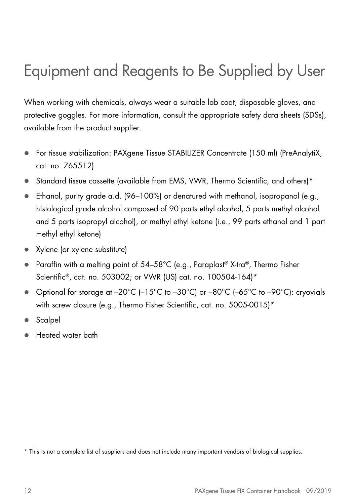### Equipment and Reagents to Be Supplied by User

When working with chemicals, always wear a suitable lab coat, disposable gloves, and protective goggles. For more information, consult the appropriate safety data sheets (SDSs), available from the product supplier.

- For tissue stabilization: PAXgene Tissue STABILIZER Concentrate (150 ml) (PreAnalytiX, cat. no. 765512)
- Standard tissue cassette (available from EMS, VWR, Thermo Scientific, and others)\*
- $\bullet$  Ethanol, purity grade a.d. (96–100%) or denatured with methanol, isopropanol (e.g., histological grade alcohol composed of 90 parts ethyl alcohol, 5 parts methyl alcohol and 5 parts isopropyl alcohol), or methyl ethyl ketone (i.e., 99 parts ethanol and 1 part methyl ethyl ketone)
- Xylene (or xylene substitute)
- Paraffin with a melting point of 54–58°C (e.g., Paraplast® X-tra®, Thermo Fisher Scientific®, cat. no. 503002; or VWR (US) cat. no. 100504-164)\*
- Optional for storage at –20°C (–15°C to –30°C) or –80°C (–65°C to –90°C): cryovials with screw closure (e.g., Thermo Fisher Scientific, cat. no. 5005-0015)\*
- **Scalpel**
- Heated water bath

\* This is not a complete list of suppliers and does not include many important vendors of biological supplies.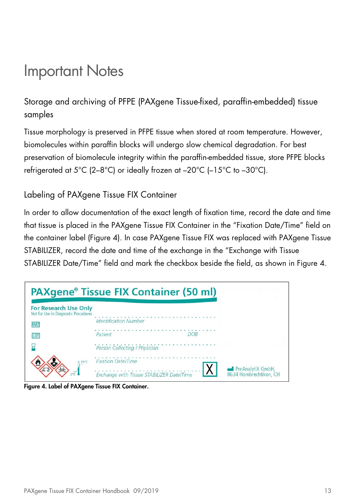### Important Notes

Storage and archiving of PFPE (PAXgene Tissue-fixed, paraffin-embedded) tissue samples

Tissue morphology is preserved in PFPE tissue when stored at room temperature. However, biomolecules within paraffin blocks will undergo slow chemical degradation. For best preservation of biomolecule integrity within the paraffin-embedded tissue, store PFPE blocks refrigerated at 5°C (2–8°C) or ideally frozen at –20°C (–15°C to –30°C).

### Labeling of PAXgene Tissue FIX Container

In order to allow documentation of the exact length of fixation time, record the date and time that tissue is placed in the PAXgene Tissue FIX Container in the "Fixation Date/Time" field on the container label (Figure 4). In case PAXgene Tissue FIX was replaced with PAXgene Tissue STABILIZER, record the date and time of the exchange in the "Exchange with Tissue STABILIZER Date/Time" field and mark the checkbox beside the field, as shown in Figure 4.



Figure 4. Label of PAXgene Tissue FIX Container.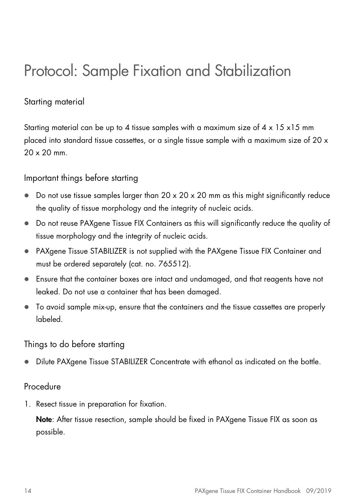### Protocol: Sample Fixation and Stabilization

### Starting material

Starting material can be up to 4 tissue samples with a maximum size of  $4 \times 15 \times 15$  mm placed into standard tissue cassettes, or a single tissue sample with a maximum size of 20 x 20 x 20 mm.

### Important things before starting

- $\bullet$  Do not use tissue samples larger than 20 x 20 x 20 mm as this might significantly reduce the quality of tissue morphology and the integrity of nucleic acids.
- Do not reuse PAXgene Tissue FIX Containers as this will significantly reduce the quality of tissue morphology and the integrity of nucleic acids.
- PAXgene Tissue STABILIZER is not supplied with the PAXgene Tissue FIX Container and must be ordered separately (cat. no. 765512).
- Ensure that the container boxes are intact and undamaged, and that reagents have not leaked. Do not use a container that has been damaged.
- To avoid sample mix-up, ensure that the containers and the tissue cassettes are properly labeled.

#### Things to do before starting

Dilute PAXgene Tissue STABILIZER Concentrate with ethanol as indicated on the bottle.

#### Procedure

1. Resect tissue in preparation for fixation.

Note: After tissue resection, sample should be fixed in PAXgene Tissue FIX as soon as possible.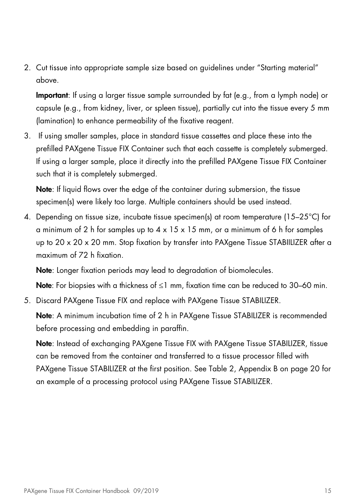2. Cut tissue into appropriate sample size based on guidelines under "Starting material" above.

Important: If using a larger tissue sample surrounded by fat (e.g., from a lymph node) or capsule (e.g., from kidney, liver, or spleen tissue), partially cut into the tissue every 5 mm (lamination) to enhance permeability of the fixative reagent.

3. If using smaller samples, place in standard tissue cassettes and place these into the prefilled PAXgene Tissue FIX Container such that each cassette is completely submerged. If using a larger sample, place it directly into the prefilled PAXgene Tissue FIX Container such that it is completely submerged.

Note: If liquid flows over the edge of the container during submersion, the tissue specimen(s) were likely too large. Multiple containers should be used instead.

4. Depending on tissue size, incubate tissue specimen(s) at room temperature (15–25 $^{\circ}$ C) for a minimum of 2 h for samples up to  $4 \times 15 \times 15$  mm, or a minimum of 6 h for samples up to 20 x 20 x 20 mm. Stop fixation by transfer into PAXgene Tissue STABIILIZER after a maximum of 72 h fixation.

Note: Longer fixation periods may lead to degradation of biomolecules.

Note: For biopsies with a thickness of  $\leq 1$  mm, fixation time can be reduced to 30–60 min.

5. Discard PAXgene Tissue FIX and replace with PAXgene Tissue STABILIZER.

Note: A minimum incubation time of 2 h in PAXgene Tissue STABILIZER is recommended before processing and embedding in paraffin.

Note: Instead of exchanging PAXgene Tissue FIX with PAXgene Tissue STABILIZER, tissue can be removed from the container and transferred to a tissue processor filled with PAXgene Tissue STABILIZER at the first position. See Table 2, Appendix B on page 20 for an example of a processing protocol using PAXgene Tissue STABILIZER.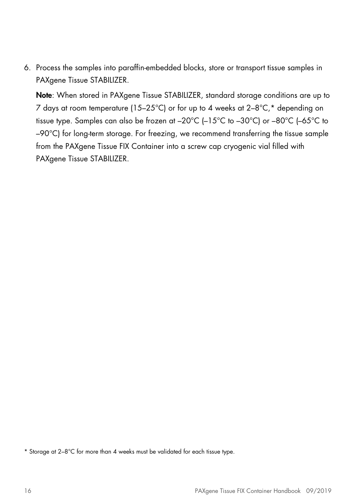6. Process the samples into paraffin-embedded blocks, store or transport tissue samples in PAXgene Tissue STABILIZER.

Note: When stored in PAXgene Tissue STABILIZER, standard storage conditions are up to 7 days at room temperature (15–25°C) or for up to 4 weeks at 2–8°C,\* depending on tissue type. Samples can also be frozen at –20°C (–15°C to –30°C) or –80°C (–65°C to –90°C) for long-term storage. For freezing, we recommend transferring the tissue sample from the PAXgene Tissue FIX Container into a screw cap cryogenic vial filled with PAXgene Tissue STABILIZER.

\* Storage at 2–8°C for more than 4 weeks must be validated for each tissue type.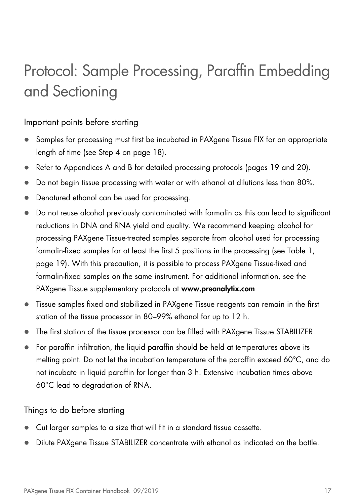# Protocol: Sample Processing, Paraffin Embedding and Sectioning

### Important points before starting

- Samples for processing must first be incubated in PAXgene Tissue FIX for an appropriate length of time (see Step 4 on page 18).
- Refer to Appendices A and B for detailed processing protocols (pages 19 and 20).
- Do not begin tissue processing with water or with ethanol at dilutions less than 80%.
- Denatured ethanol can be used for processing.
- Do not reuse alcohol previously contaminated with formalin as this can lead to significant reductions in DNA and RNA yield and quality. We recommend keeping alcohol for processing PAXgene Tissue-treated samples separate from alcohol used for processing formalin-fixed samples for at least the first 5 positions in the processing (see Table 1, page 19). With this precaution, it is possible to process PAXgene Tissue-fixed and formalin-fixed samples on the same instrument. For additional information, see the PAXgene Tissue supplementary protocols at www.preanalytix.com.
- Tissue samples fixed and stabilized in PAXgene Tissue reagents can remain in the first station of the tissue processor in 80–99% ethanol for up to 12 h.
- The first station of the tissue processor can be filled with PAXgene Tissue STABILIZER.
- For paraffin infiltration, the liquid paraffin should be held at temperatures above its melting point. Do not let the incubation temperature of the paraffin exceed 60°C, and do not incubate in liquid paraffin for longer than 3 h. Extensive incubation times above 60°C lead to degradation of RNA.

Things to do before starting

- Cut larger samples to a size that will fit in a standard tissue cassette.
- **Dilute PAXgene Tissue STABILIZER concentrate with ethanol as indicated on the bottle.**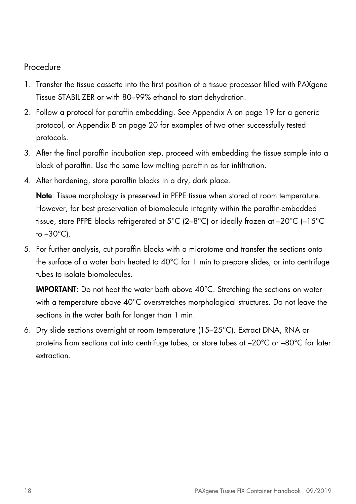### Procedure

- 1. Transfer the tissue cassette into the first position of a tissue processor filled with PAXgene Tissue STABILIZER or with 80–99% ethanol to start dehydration.
- 2. Follow a protocol for paraffin embedding. See Appendix A on page 19 for a generic protocol, or Appendix B on page 20 for examples of two other successfully tested protocols.
- 3. After the final paraffin incubation step, proceed with embedding the tissue sample into a block of paraffin. Use the same low melting paraffin as for infiltration.
- 4. After hardening, store paraffin blocks in a dry, dark place.

Note: Tissue morphology is preserved in PFPE tissue when stored at room temperature. However, for best preservation of biomolecule integrity within the paraffin-embedded tissue, store PFPE blocks refrigerated at 5°C (2–8°C) or ideally frozen at –20°C (–15°C to  $-30^{\circ}$ C).

5. For further analysis, cut paraffin blocks with a microtome and transfer the sections onto the surface of a water bath heated to 40°C for 1 min to prepare slides, or into centrifuge tubes to isolate biomolecules.

IMPORTANT: Do not heat the water bath above 40°C. Stretching the sections on water with a temperature above 40°C overstretches morphological structures. Do not leave the sections in the water bath for longer than 1 min.

6. Dry slide sections overnight at room temperature (15–25°C). Extract DNA, RNA or proteins from sections cut into centrifuge tubes, or store tubes at –20°C or –80°C for later extraction.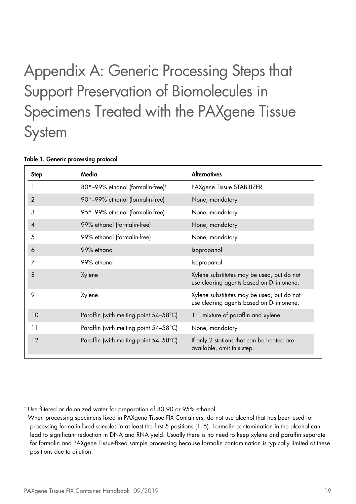# Appendix A: Generic Processing Steps that Support Preservation of Biomolecules in Specimens Treated with the PAXgene Tissue **System**

| <b>Step</b>    | Media                                        | <b>Alternatives</b>                                                                    |
|----------------|----------------------------------------------|----------------------------------------------------------------------------------------|
|                | 80*-99% ethanol (formalin-free) <sup>†</sup> | PAXgene Tissue STABILIZER                                                              |
| $\overline{2}$ | 90*-99% ethanol (formalin-free)              | None, mandatory                                                                        |
| 3              | 95*-99% ethanol (formalin-free)              | None, mandatory                                                                        |
| $\overline{4}$ | 99% ethanol (formalin-free)                  | None, mandatory                                                                        |
| 5              | 99% ethanol (formalin-free)                  | None, mandatory                                                                        |
| 6              | 99% ethanol                                  | Isopropanol                                                                            |
| 7              | 99% ethanol                                  | Isopropanol                                                                            |
| 8              | Xylene                                       | Xylene substitutes may be used, but do not<br>use clearing agents based on D-limonene. |
| 9              | Xylene                                       | Xylene substitutes may be used, but do not<br>use clearing agents based on D-limonene. |
| 10             | Paraffin (with melting point 54–58°C)        | 1:1 mixture of paraffin and xylene                                                     |
| 11             | Paraffin (with melting point 54-58°C)        | None, mandatory                                                                        |
| 12             | Paraffin (with melting point 54–58°C)        | If only 2 stations that can be heated are<br>available, omit this step.                |

#### Table 1. Generic processing protocol

\* Use filtered or deionized water for preparation of 80,90 or 95% ethanol.

<sup>†</sup> When processing specimens fixed in PAXgene Tissue FIX Containers, do not use alcohol that has been used for processing formalin-fixed samples in at least the first 5 positions (1–5). Formalin contamination in the alcohol can lead to significant reduction in DNA and RNA yield. Usually there is no need to keep xylene and paraffin separate for formalin and PAXgene Tissue-fixed sample processing because formalin contamination is typically limited at these positions due to dilution.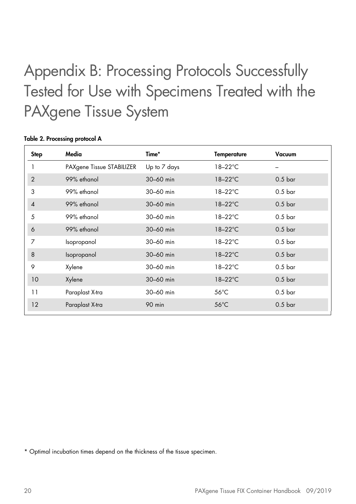# Appendix B: Processing Protocols Successfully Tested for Use with Specimens Treated with the PAXgene Tissue System

| <b>Step</b>    | Media                     | Time*         | Temperature       | Vacuum             |
|----------------|---------------------------|---------------|-------------------|--------------------|
|                | PAXgene Tissue STABILIZER | Up to 7 days  | $18-22$ °C        |                    |
| 2              | 99% ethanol               | 30-60 min     | $18-22$ °C        | $0.5$ bar          |
| 3              | 99% ethanol               | 30-60 min     | $18-22^{\circ}$ C | 0.5 <sub>bar</sub> |
| $\overline{4}$ | 99% ethanol               | 30-60 min     | $18-22$ °C        | $0.5$ bar          |
| 5              | 99% ethanol               | 30-60 min     | $18-22^{\circ}$ C | 0.5 <sub>bar</sub> |
| 6              | 99% ethanol               | $30 - 60$ min | $18-22$ °C        | 0.5 <sub>bar</sub> |
| 7              | Isopropanol               | 30-60 min     | 18-22°C           | 0.5 <sub>bar</sub> |
| 8              | Isopropanol               | 30-60 min     | $18-22$ °C        | 0.5 <sub>bar</sub> |
| 9              | Xylene                    | 30-60 min     | $18-22^{\circ}$ C | 0.5 <sub>bar</sub> |
| 10             | Xylene                    | 30-60 min     | $18-22$ °C        | 0.5 <sub>bar</sub> |
| 11             | Paraplast X-tra           | 30-60 min     | $56^{\circ}$ C    | 0.5 <sub>bar</sub> |
| 12             | Paraplast X-tra           | 90 min        | $56^{\circ}$ C    | 0.5 <sub>bar</sub> |

#### Table 2. Processing protocol A

\* Optimal incubation times depend on the thickness of the tissue specimen.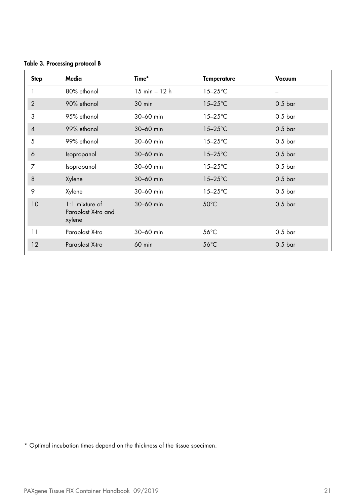|  |  |  | Table 3. Processing protocol B |  |  |
|--|--|--|--------------------------------|--|--|
|--|--|--|--------------------------------|--|--|

| Media                                             | Time*                           | Temperature       | Vacuum             |
|---------------------------------------------------|---------------------------------|-------------------|--------------------|
| 80% ethanol                                       | $15 \text{ min} - 12 \text{ h}$ | $15-25$ °C        |                    |
| 90% ethanol                                       | 30 min                          | $15-25$ °C        | 0.5 <sub>bar</sub> |
| 95% ethanol                                       | 30-60 min                       | $15-25^{\circ}$ C | $0.5$ bar          |
| 99% ethanol                                       | 30-60 min                       | $15-25$ °C        | $0.5$ bar          |
| 99% ethanol                                       | 30-60 min                       | $15-25^{\circ}$ C | 0.5 <sub>bar</sub> |
| Isopropanol                                       | 30-60 min                       | $15-25$ °C        | 0.5 <sub>bar</sub> |
| Isopropanol                                       | 30-60 min                       | $15-25^{\circ}$ C | 0.5 <sub>bar</sub> |
| Xylene                                            | 30-60 min                       | $15-25^{\circ}$ C | 0.5 <sub>bar</sub> |
| Xylene                                            | 30-60 min                       | $15-25^{\circ}$ C | 0.5 <sub>bar</sub> |
| $1:1$ mixture of<br>Paraplast X-tra and<br>xylene | $30 - 60$ min                   | $50^{\circ}$ C    | 0.5 <sub>bar</sub> |
| Paraplast X-tra                                   | 30-60 min                       | $56^{\circ}$ C    | 0.5 <sub>bar</sub> |
| Paraplast X-tra                                   | 60 min                          | $56^{\circ}$ C    | 0.5 <sub>bar</sub> |
|                                                   |                                 |                   |                    |

\* Optimal incubation times depend on the thickness of the tissue specimen.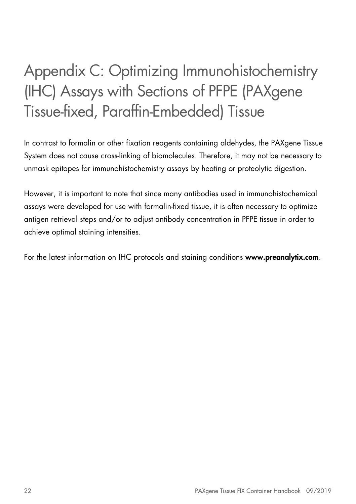# Appendix C: Optimizing Immunohistochemistry (IHC) Assays with Sections of PFPE (PAXgene Tissue-fixed, Paraffin-Embedded) Tissue

In contrast to formalin or other fixation reagents containing aldehydes, the PAXgene Tissue System does not cause cross-linking of biomolecules. Therefore, it may not be necessary to unmask epitopes for immunohistochemistry assays by heating or proteolytic digestion.

However, it is important to note that since many antibodies used in immunohistochemical assays were developed for use with formalin-fixed tissue, it is often necessary to optimize antigen retrieval steps and/or to adjust antibody concentration in PFPE tissue in order to achieve optimal staining intensities.

For the latest information on IHC protocols and staining conditions www.preanalytix.com.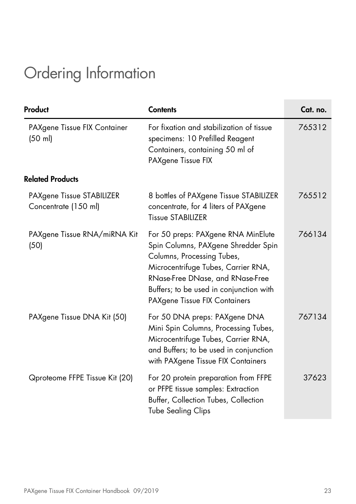# Ordering Information

| Product                                           | <b>Contents</b>                                                                                                                                                                                                                                                | Cat. no. |
|---------------------------------------------------|----------------------------------------------------------------------------------------------------------------------------------------------------------------------------------------------------------------------------------------------------------------|----------|
| PAXgene Tissue FIX Container<br>$(50 \text{ ml})$ | For fixation and stabilization of tissue<br>specimens: 10 Prefilled Reagent<br>Containers, containing 50 ml of<br>PAXgene Tissue FIX                                                                                                                           | 765312   |
| <b>Related Products</b>                           |                                                                                                                                                                                                                                                                |          |
| PAXgene Tissue STABILIZER<br>Concentrate (150 ml) | 8 bottles of PAXgene Tissue STABILIZER<br>concentrate, for 4 liters of PAXgene<br><b>Tissue STABILIZER</b>                                                                                                                                                     | 765512   |
| PAXgene Tissue RNA/miRNA Kit<br>(50)              | For 50 preps: PAXgene RNA MinElute<br>Spin Columns, PAXgene Shredder Spin<br>Columns, Processing Tubes,<br>Microcentrifuge Tubes, Carrier RNA,<br>RNase-Free DNase, and RNase-Free<br>Buffers; to be used in conjunction with<br>PAXgene Tissue FIX Containers | 766134   |
| PAXgene Tissue DNA Kit (50)                       | For 50 DNA preps: PAXgene DNA<br>Mini Spin Columns, Processing Tubes,<br>Microcentrifuge Tubes, Carrier RNA,<br>and Buffers; to be used in conjunction<br>with PAXgene Tissue FIX Containers                                                                   | 767134   |
| Qproteome FFPE Tissue Kit (20)                    | For 20 protein preparation from FFPE<br>or PFPE tissue samples: Extraction<br>Buffer, Collection Tubes, Collection<br><b>Tube Sealing Clips</b>                                                                                                                | 37623    |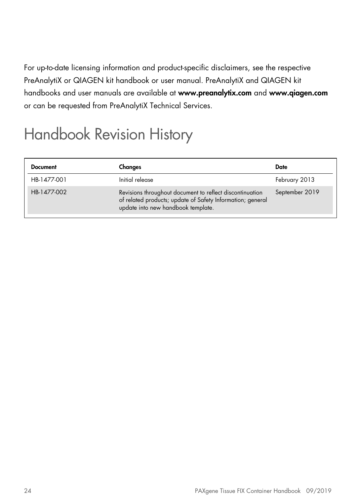For up-to-date licensing information and product-specific disclaimers, see the respective PreAnalytiX or QIAGEN kit handbook or user manual. PreAnalytiX and QIAGEN kit handbooks and user manuals are available at www.preanalytix.com and www.qiagen.com or can be requested from PreAnalytiX Technical Services.

# Handbook Revision History

| Document    | Changes                                                                                                                                                      | Date           |
|-------------|--------------------------------------------------------------------------------------------------------------------------------------------------------------|----------------|
| HB-1477-001 | Initial release                                                                                                                                              | February 2013  |
| HB-1477-002 | Revisions throughout document to reflect discontinuation<br>of related products; update of Safety Information; general<br>update into new handbook template. | September 2019 |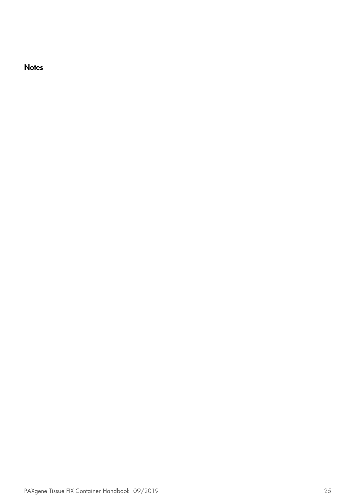**Notes**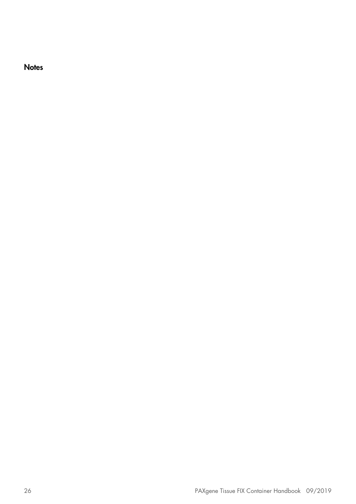**Notes**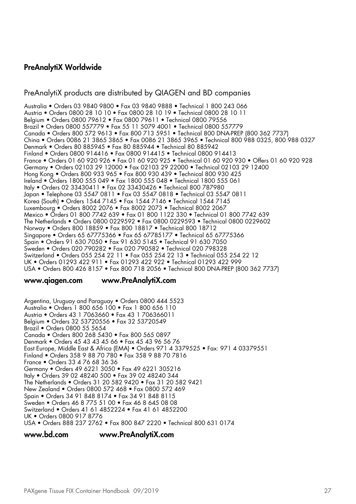#### PreAnalytiX Worldwide

#### PreAnalytiX products are distributed by QIAGEN and BD companies

Australia • Orders 03 9840 9800 • Fax 03 9840 9888 • Technical 1 800 243 066 Austria • Orders 0800 28 10 10 • Fax 0800 28 10 19 • Technical 0800 28 10 11 Belgium • Orders 0800 79612 • Fax 0800 79611 • Technical 0800 79556 Brazil • Orders 0800 557779 • Fax 55 11 5079 4001 • Technical 0800 557779 Canada • Orders 800 572 9613 • Fax 800 713 5951 • Technical 800 DNA-PREP (800 362 7737) China • Orders 0086 21 3865 3865 • Fax 0086 21 3865 3965 • Technical 800 988 0325, 800 988 0327 Denmark • Orders 80 885945 • Fax 80 885944 • Technical 80 885942 Finland • Orders 0800 914416 • Fax 0800 914415 • Technical 0800 914413 France • Orders 01 60 920 926 • Fax 01 60 920 925 • Technical 01 60 920 930 • Offers 01 60 920 928 Germany • Orders 02103 29 12000 • Fax 02103 29 22000 • Technical 02103 29 12400 Hong Kong • Orders 800 933 965 • Fax 800 930 439 • Technical 800 930 425 Ireland • Orders 1800 555 049 • Fax 1800 555 048 • Technical 1800 555 061 Italy • Orders 02 33430411 • Fax 02 33430426 • Technical 800 787980 Japan • Telephone 03 5547 0811 • Fax 03 5547 0818 • Technical 03 5547 0811 Korea (South) • Orders 1544 7145 • Fax 1544 7146 • Technical 1544 7145 Luxembourg • Orders 8002 2076 • Fax 8002 2073 • Technical 8002 2067 Mexico • Orders 01 800 7742 639 • Fax 01 800 1122 330 • Technical 01 800 7742 639 The Netherlands • Orders 0800 0229592 • Fax 0800 0229593 • Technical 0800 0229602 Norway • Orders 800 18859 • Fax 800 18817 • Technical 800 18712 Singapore • Orders 65 67775366 • Fax 65 67785177 • Technical 65 67775366 Spain • Orders 91 630 7050 • Fax 91 630 5145 • Technical 91 630 7050 Sweden • Orders 020 790282 • Fax 020 790582 • Technical 020 798328 Switzerland • Orders 055 254 22 11 • Fax 055 254 22 13 • Technical 055 254 22 12 UK • Orders 01293 422 911 • Fax 01293 422 922 • Technical 01293 422 999 USA • Orders 800 426 8157 • Fax 800 718 2056 • Technical 800 DNA-PREP (800 362 7737)

#### www.qiagen.com www.PreAnalytiX.com

Argentina, Uruguay and Paraguay • Orders 0800 444 5523 Australia • Orders 1 800 656 100 • Fax 1 800 656 110 Austria • Orders 43 1 7063660 • Fax 43 1 706366011 Belgium • Orders 32 53720556 • Fax 32 53720549 Brazil • Orders 0800 55 5654 Canada • Orders 800 268 5430 • Fax 800 565 0897 Denmark • Orders 45 43 43 45 66 • Fax 45 43 96 56 76 East Europe, Middle East & Africa (EMA) • Orders 971 4 3379525 • Fax: 971 4 03379551 Finland • Orders 358 9 88 70 780 • Fax 358 9 88 70 7816 France • Orders 33 4 76 68 36 36 Germany • Orders 49 6221 3050 • Fax 49 6221 305216 Italy • Orders 39 02 48240 500 • Fax 39 02 48240 344 The Netherlands • Orders 31 20 582 9420 • Fax 31 20 582 9421 New Zealand • Orders 0800 572 468 • Fax 0800 572 469 Spain • Orders 34 91 848 8174 • Fax 34 91 848 8115 Sweden • Orders 46 8 775 51 00 • Fax 46 8 645 08 08 Switzerland • Orders 41 61 4852224 • Fax 41 61 4852200 UK • Orders 0800 917 8776 USA • Orders 888 237 2762 • Fax 800 847 2220 • Technical 800 631 0174

www.bd.com www.PreAnalytiX.com